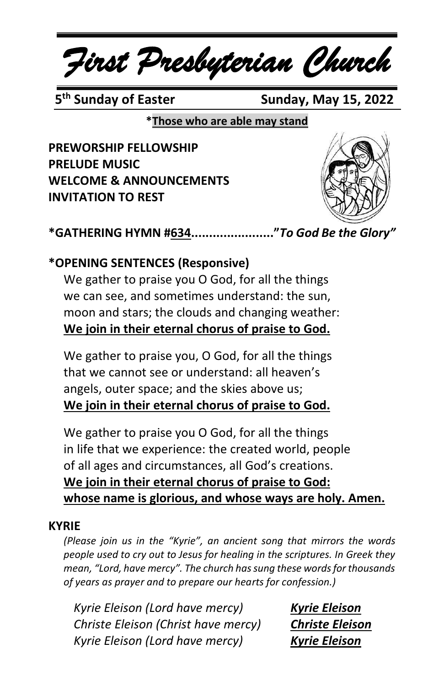*First Presbyterian Church*

5<sup>th</sup> Sunday of Easter

**Sunday, May 15, 2022** 

**\*Those who are able may stand**

**PREWORSHIP FELLOWSHIP PRELUDE MUSIC WELCOME & ANNOUNCEMENTS INVITATION TO REST**



**\*GATHERING HYMN #634......................."***To God Be the Glory"*

### **\*OPENING SENTENCES (Responsive)**

We gather to praise you O God, for all the things we can see, and sometimes understand: the sun, moon and stars; the clouds and changing weather: **We join in their eternal chorus of praise to God.**

We gather to praise you, O God, for all the things that we cannot see or understand: all heaven's angels, outer space; and the skies above us; **We join in their eternal chorus of praise to God.**

We gather to praise you O God, for all the things in life that we experience: the created world, people of all ages and circumstances, all God's creations. **We join in their eternal chorus of praise to God: whose name is glorious, and whose ways are holy. Amen.**

#### **KYRIE**

*(Please join us in the "Kyrie", an ancient song that mirrors the words people used to cry out to Jesus for healing in the scriptures. In Greek they mean, "Lord, have mercy". The church has sung these words for thousands of years as prayer and to prepare our hearts for confession.)*

*Kyrie Eleison (Lord have mercy) Kyrie Eleison Christe Eleison (Christ have mercy) Christe Eleison Kyrie Eleison (Lord have mercy) Kyrie Eleison*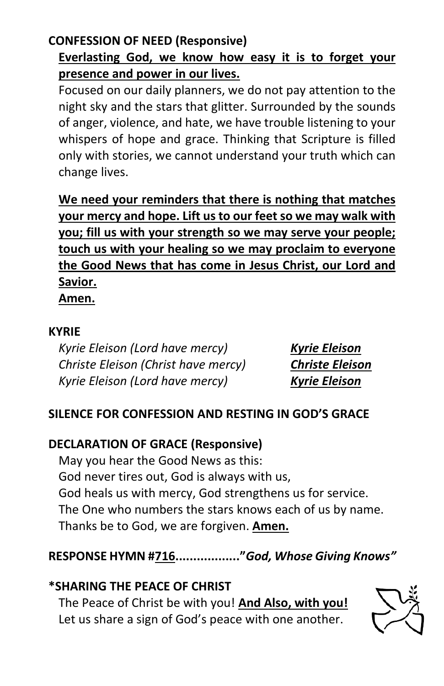## **CONFESSION OF NEED (Responsive)**

# **Everlasting God, we know how easy it is to forget your presence and power in our lives.**

Focused on our daily planners, we do not pay attention to the night sky and the stars that glitter. Surrounded by the sounds of anger, violence, and hate, we have trouble listening to your whispers of hope and grace. Thinking that Scripture is filled only with stories, we cannot understand your truth which can change lives.

**We need your reminders that there is nothing that matches your mercy and hope. Lift us to our feet so we may walk with you; fill us with your strength so we may serve your people; touch us with your healing so we may proclaim to everyone the Good News that has come in Jesus Christ, our Lord and Savior.**

**Amen.**

#### **KYRIE**

*Kyrie Eleison (Lord have mercy) Kyrie Eleison Christe Eleison (Christ have mercy) Christe Eleison Kyrie Eleison (Lord have mercy) Kyrie Eleison*

#### **SILENCE FOR CONFESSION AND RESTING IN GOD'S GRACE**

#### **DECLARATION OF GRACE (Responsive)**

May you hear the Good News as this: God never tires out, God is always with us, God heals us with mercy, God strengthens us for service. The One who numbers the stars knows each of us by name. Thanks be to God, we are forgiven. **Amen.**

#### **RESPONSE HYMN #716.................."***God, Whose Giving Knows"*

#### **\*SHARING THE PEACE OF CHRIST**

The Peace of Christ be with you! **And Also, with you!** Let us share a sign of God's peace with one another.

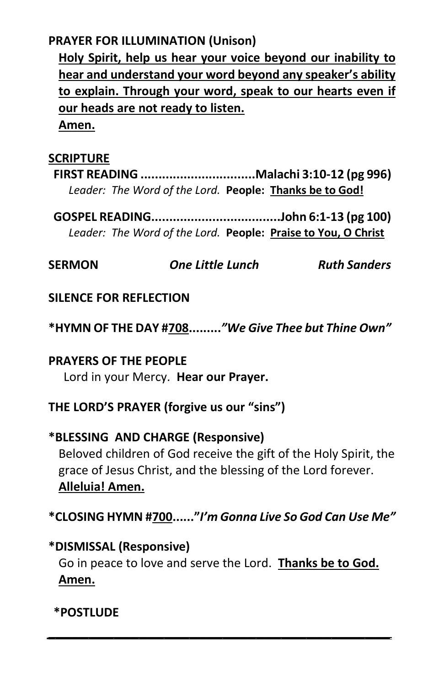#### **PRAYER FOR ILLUMINATION (Unison)**

**Holy Spirit, help us hear your voice beyond our inability to hear and understand your word beyond any speaker's ability to explain. Through your word, speak to our hearts even if our heads are not ready to listen.**

**Amen.**

#### **SCRIPTURE**

**FIRST READING ................................Malachi 3:10-12 (pg 996)** *Leader: The Word of the Lord.* **People: Thanks be to God!**

**GOSPEL READING....................................John 6:1-13 (pg 100)** *Leader: The Word of the Lord.* **People: Praise to You, O Christ**

**SERMON** *One Little Lunch Ruth Sanders*

#### **SILENCE FOR REFLECTION**

**\*HYMN OF THE DAY #708.........***"We Give Thee but Thine Own"*

#### **PRAYERS OF THE PEOPLE** Lord in your Mercy. **Hear our Prayer.**

**THE LORD'S PRAYER (forgive us our "sins")**

# **\*BLESSING AND CHARGE (Responsive)** Beloved children of God receive the gift of the Holy Spirit, the

grace of Jesus Christ, and the blessing of the Lord forever. **Alleluia! Amen.**

**\*CLOSING HYMN #700......"***I'm Gonna Live So God Can Use Me"*

## **\*DISMISSAL (Responsive)**

Go in peace to love and serve the Lord. **Thanks be to God. Amen.**

*\_\_\_\_\_\_\_\_\_\_\_\_\_\_\_\_\_\_\_\_\_\_\_\_\_\_\_\_\_\_\_\_\_\_\_\_\_\_\_\_\_*

#### **\*POSTLUDE**